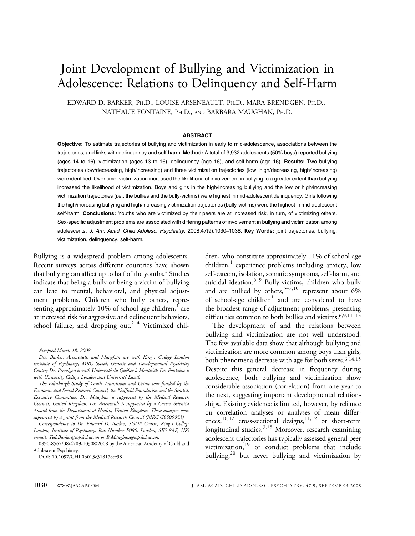# Joint Development of Bullying and Victimization in Adolescence: Relations to Delinquency and Self-Harm

EDWARD D. BARKER, PH.D., LOUISE ARSENEAULT, PH.D., MARA BRENDGEN, PH.D., NATHALIE FONTAINE, PH.D., AND BARBARA MAUGHAN, PH.D.

#### ABSTRACT

Objective: To estimate trajectories of bullying and victimization in early to mid-adolescence, associations between the trajectories, and links with delinquency and self-harm. Method: A total of 3,932 adolescents (50% boys) reported bullying (ages 14 to 16), victimization (ages 13 to 16), delinquency (age 16), and self-harm (age 16). Results: Two bullying trajectories (low/decreasing, high/increasing) and three victimization trajectories (low, high/decreasing, high/increasing) were identified. Over time, victimization increased the likelihood of involvement in bullying to a greater extent than bullying increased the likelihood of victimization. Boys and girls in the high/increasing bullying and the low or high/increasing victimization trajectories (i.e., the bullies and the bully-victims) were highest in mid-adolescent delinquency. Girls following the high/increasing bullying and high/increasing victimization trajectories (bully-victims) were the highest in mid-adolescent self-harm. Conclusions: Youths who are victimized by their peers are at increased risk, in turn, of victimizing others. Sex-specific adjustment problems are associated with differing patterns of involvement in bullying and victimization among adolescents. J. Am. Acad. Child Adolesc. Psychiatry, 2008;47(9):1030-1038. Key Words: joint trajectories, bullying, victimization, delinquency, self-harm.

Bullying is a widespread problem among adolescents. Recent surveys across different countries have shown that bullying can affect up to half of the youths.<sup>1</sup> Studies indicate that being a bully or being a victim of bullying can lead to mental, behavioral, and physical adjustment problems. Children who bully others, representing approximately 10% of school-age children,  $^{\text{T}}$  are at increased risk for aggressive and delinquent behaviors, school failure, and dropping out.<sup>2-4</sup> Victimized children, who constitute approximately 11% of school-age  $children<sup>1</sup>$  experience problems including anxiety, low self-esteem, isolation, somatic symptoms, self-harm, and suicidal ideation.<sup>5-9</sup> Bully-victims, children who bully and are bullied by others,  $5-7,10$  represent about 6% of school-age children<sup>1</sup> and are considered to have the broadest range of adjustment problems, presenting difficulties common to both bullies and victims.<sup>6,9,11-13</sup>

The development of and the relations between bullying and victimization are not well understood. The few available data show that although bullying and victimization are more common among boys than girls, both phenomena decrease with age for both sexes.<sup>6,14,15</sup> Despite this general decrease in frequency during adolescence, both bullying and victimization show considerable association (correlation) from one year to the next, suggesting important developmental relationships. Existing evidence is limited, however, by reliance on correlation analyses or analyses of mean differences,<sup>16,17</sup> cross-sectional designs,<sup>11,12</sup> or short-term longitudinal studies.<sup>3,18</sup> Moreover, research examining adolescent trajectories has typically assessed general peer victimization,<sup>19</sup> or conduct problems that include bullying,<sup>20</sup> but never bullying and victimization by

Accepted March 18, 2008.

Drs. Barker, Arseneault, and Maughan are with King's College London Institute of Psychiatry, MRC Social, Genetic and Developmental Psychiatry Centre; Dr. Brendgen is with Université du Québec à Montréal; Dr. Fontaine is with University College London and Université Laval.

The Edinburgh Study of Youth Transitions and Crime was funded by the Economic and Social Research Council, the Nuffield Foundation and the Scottish Executive Committee. Dr. Maughan is supported by the Medical Research Council, United Kingdom. Dr. Arseneault is supported by a Career Scientist Award from the Department of Health, United Kingdom. These analyses were supported by a grant from the Medical Research Council (MRC G0500953).

Correspondence to Dr. Edward D. Barker, SGDP Centre, King's College London, Institute of Psychiatry, Box Number P080, London, SE5 8AF, UK; e-mail: Ted.Barker@iop.kcl.ac.uk or B.Maughan@iop.kcl.ac.uk.

<sup>0890-8567/08/4709-1030</sup>2008 by the American Academy of Child and Adolescent Psychiatry.

DOI: 10.1097/CHI.0b013e31817eec98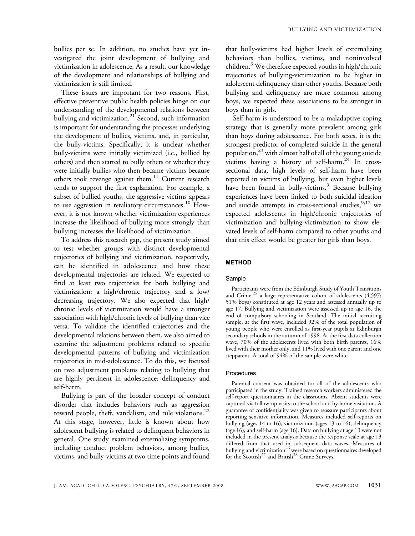bullies per se. In addition, no studies have yet investigated the joint development of bullying and victimization in adolescence. As a result, our knowledge of the development and relationships of bullying and victimization is still limited.

These issues are important for two reasons. First, effective preventive public health policies hinge on our understanding of the developmental relations between bullying and victimization. $21^{\circ}$  Second, such information is important for understanding the processes underlying the development of bullies, victims, and, in particular, the bully-victims. Specifically, it is unclear whether bully-victims were initially victimized (i.e., bullied by others) and then started to bully others or whether they were initially bullies who then became victims because others took revenge against them. $11$  Current research tends to support the first explanation. For example, a subset of bullied youths, the aggressive victims appears to use aggression in retaliatory circumstances.<sup>10</sup> However, it is not known whether victimization experiences increase the likelihood of bullying more strongly than bullying increases the likelihood of victimization.

To address this research gap, the present study aimed to test whether groups with distinct developmental trajectories of bullying and victimization, respectively, can be identified in adolescence and how these developmental trajectories are related. We expected to find at least two trajectories for both bullying and victimization: a high/chronic trajectory and a low/ decreasing trajectory. We also expected that high/ chronic levels of victimization would have a stronger association with high/chronic levels of bullying than vice versa. To validate the identified trajectories and the developmental relations between them, we also aimed to examine the adjustment problems related to specific developmental patterns of bullying and victimization trajectories in mid-adolescence. To do this, we focused on two adjustment problems relating to bullying that are highly pertinent in adolescence: delinquency and self-harm.

Bullying is part of the broader concept of conduct disorder that includes behaviors such as aggression toward people, theft, vandalism, and rule violations.<sup>22</sup> At this stage, however, little is known about how adolescent bullying is related to delinquent behaviors in general. One study examined externalizing symptoms, including conduct problem behaviors, among bullies, victims, and bully-victims at two time points and found

that bully-victims had higher levels of externalizing behaviors than bullies, victims, and noninvolved children.<sup>3</sup> We therefore expected youths in high/chronic trajectories of bullying-victimization to be higher in adolescent delinquency than other youths. Because both bullying and delinquency are more common among boys, we expected these associations to be stronger in boys than in girls.

Self-harm is understood to be a maladaptive coping strategy that is generally more prevalent among girls than boys during adolescence. For both sexes, it is the strongest predictor of completed suicide in the general population,23 with almost half of all of the young suicide victims having a history of self-harm. $24$  In crosssectional data, high levels of self-harm have been reported in victims of bullying, but even higher levels have been found in bully-victims.<sup>9</sup> Because bullying experiences have been linked to both suicidal ideation and suicide attempts in cross-sectional studies,  $9,12$  we expected adolescents in high/chronic trajectories of victimization and bullying-victimization to show elevated levels of self-harm compared to other youths and that this effect would be greater for girls than boys.

## **METHOD**

#### Sample

Participants were from the Edinburgh Study of Youth Transitions and Crime, $^{25}$  a large representative cohort of adolescents (4,597; 51% boys) constituted at age 12 years and assessed annually up to age 17. Bullying and victimization were assessed up to age 16, the end of compulsory schooling in Scotland. The initial recruiting sample, at the first wave, included 92% of the total population of young people who were enrolled as first-year pupils at Edinburgh secondary schools in the autumn of 1998. At the first data collection wave, 70% of the adolescents lived with both birth parents, 16% lived with their mother only, and 11% lived with one parent and one stepparent. A total of 94% of the sample were white.

## Procedures

Parental consent was obtained for all of the adolescents who participated in the study. Trained research workers administered the self-report questionnaires in the classrooms. Absent students were captured via follow-up visits to the school and by home visitation. A guarantee of confidentiality was given to reassure participants about reporting sensitive information. Measures included self-reports on bullying (ages 14 to 16), victimization (ages 13 to 16), delinquency (age 16), and self-harm (age 16). Data on bullying at age 13 were not included in the present analysis because the response scale at age 13 differed from that used in subsequent data waves. Measures of bullying and victimization<sup>26</sup> were based on questionnaires developed for the Scottish<sup>27</sup> and British<sup>28</sup> Crime Surveys.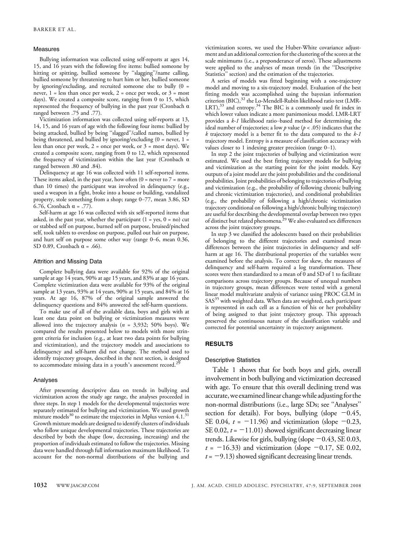#### Measures

Bullying information was collected using self-reports at ages 14, 15, and 16 years with the following five items: bullied someone by hitting or spitting, bullied someone by ''slagging''/name calling, bullied someone by threatening to hurt him or her, bullied someone by ignoring/excluding, and recruited someone else to bully (0 = never,  $1 =$  less than once per week,  $2 =$  once per week, or  $3 =$  most days). We created a composite score, ranging from 0 to 15, which represented the frequency of bullying in the past year (Cronbach  $\alpha$ ranged between .75 and .77).

Victimization information was collected using self-reports at 13, 14, 15, and 16 years of age with the following four items: bullied by being attacked, bullied by being ''slagged''/called names, bullied by being threatened, and bullied by ignoring/excluding  $(0 = never, 1 =$ less than once per week, 2 = once per week, or 3 = most days). We created a composite score, ranging from 0 to 12, which represented the frequency of victimization within the last year (Cronbach  $\alpha$ ranged between .80 and .84).

Delinquency at age 16 was collected with 11 self-reported items. These items asked, in the past year, how often  $(0 =$  never to  $7 =$  more than 10 times) the participant was involved in delinquency (e.g., used a weapon in a fight, broke into a house or building, vandalized property, stole something from a shop; range 0-77, mean 3.86, SD 6.76, Cronbach  $\alpha$  = .77).

Self-harm at age 16 was collected with six self-reported items that asked, in the past year, whether the participant  $(1 = yes, 0 = no)$  cut or stabbed self on purpose, burned self on purpose, bruised/pinched self, took tablets to overdose on purpose, pulled out hair on purpose, and hurt self on purpose some other way (range 0-6, mean 0.36, SD 0.89, Cronbach  $\alpha$  = .66).

#### Attrition and Missing Data

Complete bullying data were available for 92% of the original sample at age 14 years, 90% at age 15 years, and 83% at age 16 years. Complete victimization data were available for 93% of the original sample at 13 years, 93% at 14 years, 90% at 15 years, and 84% at 16 years. At age 16, 87% of the original sample answered the delinquency questions and 84% answered the self-harm questions.

To make use of all of the available data, boys and girls with at least one data point on bullying or victimization measures were allowed into the trajectory analysis ( $n = 3,932$ ; 50% boys). We compared the results presented below to models with more stringent criteria for inclusion (e.g., at least two data points for bullying and victimization), and the trajectory models and associations to delinquency and self-harm did not change. The method used to identify trajectory groups, described in the next section, is designed to accommodate missing data in a youth's assessment record.<sup>2</sup>

#### Analyses

After presenting descriptive data on trends in bullying and victimization across the study age range, the analyses proceeded in three steps. In step 1 models for the developmental trajectories were separately estimated for bullying and victimization. We used growth mixture models<sup>30</sup> to estimate the trajectories in Mplus version 4.1.<sup>31</sup> Growth mixture models are designed to identify clusters of individuals who follow unique developmental trajectories. These trajectories are described by both the shape (low, decreasing, increasing) and the proportion of individuals estimated to follow the trajectories. Missing data were handled through full information maximum likelihood. To account for the non-normal distributions of the bullying and

victimization scores, we used the Huber-White covariance adjustment and an additional correction for the clustering of the scores at the scale minimums (i.e., a preponderance of zeros). These adjustments were applied to the analyses of mean trends (in the ''Descriptive Statistics'' section) and the estimation of the trajectories.

A series of models was fitted beginning with a one-trajectory model and moving to a six-trajectory model. Evaluation of the best fitting models was accomplished using the bayesian information criterion (BIC),<sup>32</sup> the Lo-Mendell-Rubin likelihood ratio test (LMR-LRT), $^{33}$  and entropy. $^{34}$  The BIC is a commonly used fit index in which lower values indicate a more parsimonious model. LMR-LRT provides a  $k-1$  likelihood ratio-based method for determining the ideal number of trajectories; a low  $p$  value ( $p < .05$ ) indicates that the  $k$  trajectory model is a better fit to the data compared to the  $k-1$ trajectory model. Entropy is a measure of classification accuracy with values closer to 1 indexing greater precision (range  $0-1$ ).

In step 2 the joint trajectories of bullying and victimization were estimated. We used the best fitting trajectory models for bullying and victimization as the starting point for the joint models. Key outputs of a joint model are the joint probabilities and the conditional probabilities. Joint probabilities of belonging to trajectories of bullying and victimization (e.g., the probability of following chronic bullying and chronic victimization trajectories), and conditional probabilities (e.g., the probability of following a high/chronic victimization trajectory conditional on following a high/chronic bullying trajectory) are useful for describing the developmental overlap between two types of distinct but related phenomena.<sup>29</sup> We also evaluated sex differences across the joint trajectory groups.

In step 3 we classified the adolescents based on their probabilities of belonging to the different trajectories and examined mean differences between the joint trajectories in delinquency and selfharm at age 16. The distributional properties of the variables were examined before the analysis. To correct for skew, the measures of delinquency and self-harm required a log transformation. These scores were then standardized to a mean of 0 and SD of 1 to facilitate comparisons across trajectory groups. Because of unequal numbers in trajectory groups, mean differences were tested with a general linear model multivariate analysis of variance using PROC GLM in SAS<sup>35</sup> with weighted data. When data are weighted, each participant is represented in each cell as a function of his or her probability of being assigned to that joint trajectory group. This approach preserved the continuous nature of the classification variable and corrected for potential uncertainty in trajectory assignment.

## RESULTS

#### Descriptive Statistics

Table 1 shows that for both boys and girls, overall involvement in both bullying and victimization decreased with age. To ensure that this overall declining trend was accurate, we examined linear change while adjusting for the non-normal distributions (i.e., large SDs; see ''Analyses'' section for details). For boys, bullying (slope  $-0.45$ , SE 0.04,  $t = -11.96$ ) and victimization (slope  $-0.23$ , SE 0.02,  $t = -11.01$ ) showed significant decreasing linear trends. Likewise for girls, bullying (slope  $-0.43$ , SE 0.03,  $t = -16.33$ ) and victimization (slope  $-0.17$ , SE 0.02,  $t = -9.13$ ) showed significant decreasing linear trends.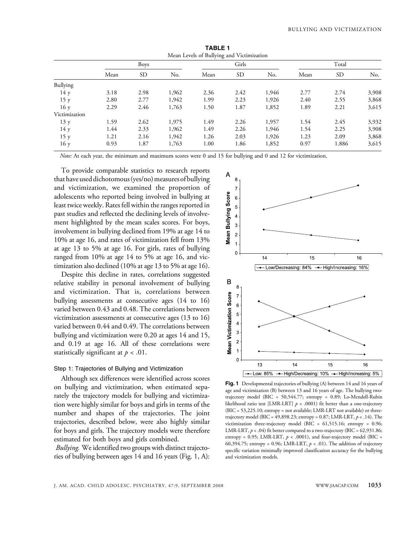|                 | <b>Boys</b> |           |       | Girls |           |       | Total |                 |       |
|-----------------|-------------|-----------|-------|-------|-----------|-------|-------|-----------------|-------|
|                 | Mean        | <b>SD</b> | No.   | Mean  | <b>SD</b> | No.   | Mean  | SD <sub>1</sub> | No.   |
| <b>Bullying</b> |             |           |       |       |           |       |       |                 |       |
| 14y             | 3.18        | 2.98      | 1,962 | 2.36  | 2.42      | 1,946 | 2.77  | 2.74            | 3,908 |
| 15y             | 2.80        | 2.77      | 1,942 | 1.99  | 2.23      | 1,926 | 2.40  | 2.55            | 3,868 |
| 16y             | 2.29        | 2.46      | 1,763 | 1.50  | 1.87      | 1,852 | 1.89  | 2.21            | 3,615 |
| Victimization   |             |           |       |       |           |       |       |                 |       |
| 13y             | 1.59        | 2.62      | 1,975 | 1.49  | 2.26      | 1,957 | 1.54  | 2.45            | 3,932 |
| 14y             | 1.44        | 2.33      | 1,962 | 1.49  | 2.26      | 1,946 | 1.54  | 2.25            | 3,908 |
| 15y             | 1.21        | 2.16      | 1,942 | 1.26  | 2.03      | 1,926 | 1.23  | 2.09            | 3,868 |
| 16y             | 0.93        | 1.87      | 1,763 | 1.00  | 1.86      | 1,852 | 0.97  | 1.886           | 3,615 |

TABLE 1 Mean Levels of Bullying and Victimization

Note: At each year, the minimum and maximum scores were 0 and 15 for bullying and 0 and 12 for victimization.

To provide comparable statistics to research reports that have used dichotomous (yes/no) measures of bullying and victimization, we examined the proportion of adolescents who reported being involved in bullying at least twice weekly. Rates fell within the ranges reported in past studies and reflected the declining levels of involvement highlighted by the mean scales scores. For boys, involvement in bullying declined from 19% at age 14 to 10% at age 16, and rates of victimization fell from 13% at age 13 to 5% at age 16. For girls, rates of bullying ranged from 10% at age 14 to 5% at age 16, and victimization also declined (10% at age 13 to 5% at age 16).

Despite this decline in rates, correlations suggested relative stability in personal involvement of bullying and victimization. That is, correlations between bullying assessments at consecutive ages (14 to 16) varied between 0.43 and 0.48. The correlations between victimization assessments at consecutive ages (13 to 16) varied between 0.44 and 0.49. The correlations between bullying and victimization were 0.20 at ages 14 and 15, and 0.19 at age 16. All of these correlations were statistically significant at  $p < .01$ .

## Step 1: Trajectories of Bullying and Victimization

Although sex differences were identified across scores on bullying and victimization, when estimated separately the trajectory models for bullying and victimization were highly similar for boys and girls in terms of the number and shapes of the trajectories. The joint trajectories, described below, were also highly similar for boys and girls. The trajectory models were therefore estimated for both boys and girls combined.

Bullying. We identified two groups with distinct trajectories of bullying between ages 14 and 16 years (Fig. 1, A):



Fig. 1 Developmental trajectories of bullying (A) between 14 and 16 years of age and victimization (B) between 13 and 16 years of age. The bullying twotrajectory model (BIC = 50,544.77; entropy = 0.89; Lo-Mendell-Rubin likelihood ratio test [LMR-LRT]  $p < .0001$ ) fit better than a one-trajectory (BIC = 53,225.10; entropy = not available; LMR-LRT not available) or threetrajectory model (BIC = 49,898.23; entropy = 0.87; LMR-LRT,  $p < .14$ ). The victimization three-trajectory model (BIC = 61,515.16; entropy = 0.96; LMR-LRT,  $p < .04$ ) fit better compared to a two-trajectory (BIC = 62,931.86; entropy = 0.95; LMR-LRT,  $p < .0001$ ), and four-trajectory model (BIC = 60,394.75; entropy = 0.96; LMR-LRT,  $p < .01$ ). The addition of trajectory specific variation minimally improved classification accuracy for the bullying and victimization models.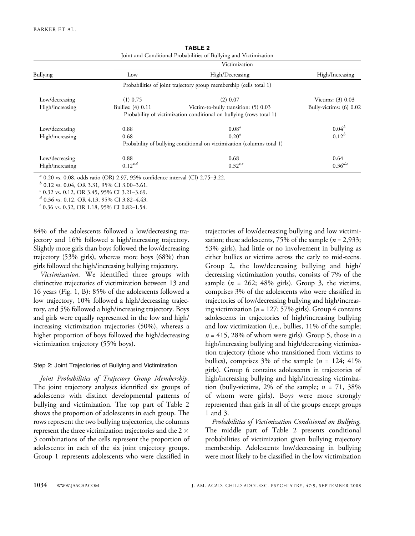|                 | Victimization     |                                                                        |                         |  |  |  |  |
|-----------------|-------------------|------------------------------------------------------------------------|-------------------------|--|--|--|--|
| Bullying        | Low               | High/Decreasing                                                        | High/Increasing         |  |  |  |  |
|                 |                   | Probabilities of joint trajectory group membership (cells total 1)     |                         |  |  |  |  |
| Low/decreasing  | $(1)$ 0.75        | $(2)$ 0.07                                                             | Victims: $(3)$ 0.03     |  |  |  |  |
| High/increasing | Bullies: (4) 0.11 | Victim-to-bully transition: (5) 0.03                                   | Bully-victims: (6) 0.02 |  |  |  |  |
|                 |                   | Probability of victimization conditional on bullying (rows total 1)    |                         |  |  |  |  |
| Low/decreasing  | 0.88              | $0.08^{\circ}$                                                         | $0.04^{b}$              |  |  |  |  |
| High/increasing | 0.68              | $0.20^{\circ}$                                                         | $0.12^{b}$              |  |  |  |  |
|                 |                   | Probability of bullying conditional on victimization (columns total 1) |                         |  |  |  |  |
| Low/decreasing  | 0.88              | 0.68                                                                   | 0.64                    |  |  |  |  |
| High/increasing | $0.12^{c,d}$      | $0.32^{c,e}$                                                           | $0.36^{d,e}$            |  |  |  |  |

TABLE 2 Joint and Conditional Probabilities of Bullying and Victimization

<sup>4</sup> 0.20 vs. 0.08, odds ratio (OR) 2.97, 95% confidence interval (CI) 2.75–3.22.<br>
<sup>6</sup> 0.12 vs. 0.04, OR 3.31, 95% CI 3.00–3.61.<br>
<sup>6</sup> 0.32 vs. 0.12, OR 3.45, 95% CI 3.21–3.69.<br>
<sup>4</sup> 0.36 vs. 0.12, OR 4.13, 95% CI 3.82–4.43.

84% of the adolescents followed a low/decreasing trajectory and 16% followed a high/increasing trajectory. Slightly more girls than boys followed the low/decreasing trajectory (53% girls), whereas more boys (68%) than girls followed the high/increasing bullying trajectory.

Victimization. We identified three groups with distinctive trajectories of victimization between 13 and 16 years (Fig. 1, B): 85% of the adolescents followed a low trajectory, 10% followed a high/decreasing trajectory, and 5% followed a high/increasing trajectory. Boys and girls were equally represented in the low and high/ increasing victimization trajectories (50%), whereas a higher proportion of boys followed the high/decreasing victimization trajectory (55% boys).

## Step 2: Joint Trajectories of Bullying and Victimization

Joint Probabilities of Trajectory Group Membership. The joint trajectory analyses identified six groups of adolescents with distinct developmental patterns of bullying and victimization. The top part of Table 2 shows the proportion of adolescents in each group. The rows represent the two bullying trajectories, the columns represent the three victimization trajectories and the 2  $\times$ 3 combinations of the cells represent the proportion of adolescents in each of the six joint trajectory groups. Group 1 represents adolescents who were classified in

trajectories of low/decreasing bullying and low victimization; these adolescents, 75% of the sample ( $n = 2.933$ ; 53% girls), had little or no involvement in bullying as either bullies or victims across the early to mid-teens. Group 2, the low/decreasing bullying and high/ decreasing victimization youths, consists of 7% of the sample ( $n = 262$ ; 48% girls). Group 3, the victims, comprises 3% of the adolescents who were classified in trajectories of low/decreasing bullying and high/increasing victimization ( $n = 127$ ; 57% girls). Group 4 contains adolescents in trajectories of high/increasing bullying and low victimization (i.e., bullies, 11% of the sample;  $n = 415$ , 28% of whom were girls). Group 5, those in a high/increasing bullying and high/decreasing victimization trajectory (those who transitioned from victims to bullies), comprises 3% of the sample  $(n = 124; 41\%)$ girls). Group 6 contains adolescents in trajectories of high/increasing bullying and high/increasing victimization (bully-victims, 2% of the sample;  $n = 71, 38%$ of whom were girls). Boys were more strongly represented than girls in all of the groups except groups 1 and 3.

Probabilities of Victimization Conditional on Bullying. The middle part of Table 2 presents conditional probabilities of victimization given bullying trajectory membership. Adolescents low/decreasing in bullying were most likely to be classified in the low victimization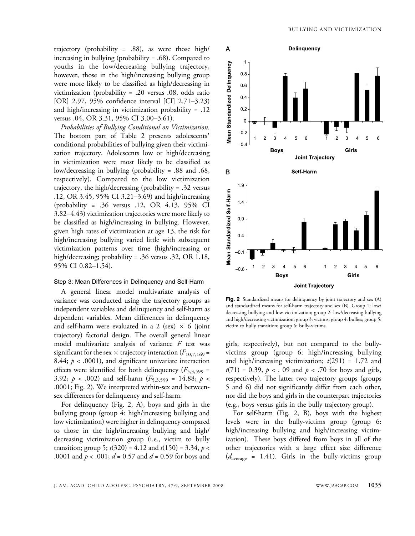trajectory (probability = .88), as were those high/ increasing in bullying (probability = .68). Compared to youths in the low/decreasing bullying trajectory, however, those in the high/increasing bullying group were more likely to be classified as high/decreasing in victimization (probability = .20 versus .08, odds ratio [OR]  $2.97, 95\%$  confidence interval [CI]  $2.71-3.23$ ) and high/increasing in victimization probability = .12 versus .04, OR 3.31, 95% CI 3.00–3.61).

Probabilities of Bullying Conditional on Victimization. The bottom part of Table 2 presents adolescents' conditional probabilities of bullying given their victimization trajectory. Adolescents low or high/decreasing in victimization were most likely to be classified as low/decreasing in bullying (probability = .88 and .68, respectively). Compared to the low victimization trajectory, the high/decreasing (probability = .32 versus .12, OR 3.45, 95% CI 3.21-3.69) and high/increasing (probability = .36 versus .12, OR 4.13, 95% CI 3.82-4.43) victimization trajectories were more likely to be classified as high/increasing in bullying. However, given high rates of victimization at age 13, the risk for high/increasing bullying varied little with subsequent victimization patterns over time (high/increasing or high/decreasing; probability = .36 versus .32, OR 1.18,  $95\%$  CI 0.82-1.54).

#### Step 3: Mean Differences in Delinquency and Self-Harm

A general linear model multivariate analysis of variance was conducted using the trajectory groups as independent variables and delinquency and self-harm as dependent variables. Mean differences in delinquency and self-harm were evaluated in a 2 (sex)  $\times$  6 (joint trajectory) factorial design. The overall general linear model multivariate analysis of variance  $F$  test was significant for the sex  $\times$  trajectory interaction ( $F_{10,7,169}$  = 8.44;  $p < .0001$ ), and significant univariate interaction effects were identified for both delinquency ( $F_{5,3,599}$  = 3.92;  $p < .002$ ) and self-harm  $(F_{5,3,599} = 14.88; p <$ .0001; Fig. 2). We interpreted within-sex and betweensex differences for delinquency and self-harm.

For delinquency (Fig. 2, A), boys and girls in the bullying group (group 4: high/increasing bullying and low victimization) were higher in delinquency compared to those in the high/increasing bullying and high/ decreasing victimization group (i.e., victim to bully transition; group 5;  $t(320) = 4.12$  and  $t(150) = 3.34$ ,  $p <$ .0001 and  $p < .001$ ;  $d = 0.57$  and  $d = 0.59$  for boys and



Fig. 2 Standardized means for delinquency by joint trajectory and sex (A) and standardized means for self-harm trajectory and sex (B). Group 1: low/ decreasing bullying and low victimization; group 2: low/decreasing bullying and high/decreasing victimization; group 3: victims; group 4: bullies; group 5: victim to bully transition; group 6: bully-victims.

girls, respectively), but not compared to the bullyvictims group (group 6: high/increasing bullying and high/increasing victimization;  $t(291) = 1.72$  and  $t(71) = 0.39, p < .09$  and  $p < .70$  for boys and girls, respectively). The latter two trajectory groups (groups 5 and 6) did not significantly differ from each other, nor did the boys and girls in the counterpart trajectories (e.g., boys versus girls in the bully trajectory group).

For self-harm (Fig. 2, B), boys with the highest levels were in the bully-victims group (group 6: high/increasing bullying and high/increasing victimization). These boys differed from boys in all of the other trajectories with a large effect size difference  $(d_{\text{average}} = 1.41)$ . Girls in the bully-victims group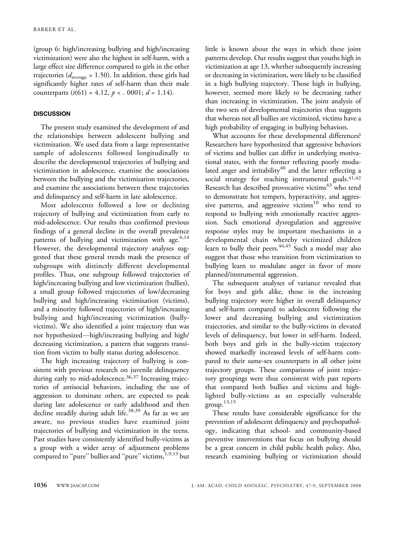(group 6: high/increasing bullying and high/increasing victimization) were also the highest in self-harm, with a large effect size difference compared to girls in the other trajectories ( $d_{\text{average}} = 1.50$ ). In addition, these girls had significantly higher rates of self-harm than their male counterparts  $(t(61) = 4.12, p < .0001; d = 1.14)$ .

# **DISCUSSION**

The present study examined the development of and the relationships between adolescent bullying and victimization. We used data from a large representative sample of adolescents followed longitudinally to describe the developmental trajectories of bullying and victimization in adolescence, examine the associations between the bullying and the victimization trajectories, and examine the associations between these trajectories and delinquency and self-harm in late adolescence.

Most adolescents followed a low or declining trajectory of bullying and victimization from early to mid-adolescence. Our results thus confirmed previous findings of a general decline in the overall prevalence patterns of bullying and victimization with age.<sup>6,14</sup> However, the developmental trajectory analyses suggested that these general trends mask the presence of subgroups with distinctly different developmental profiles. Thus, one subgroup followed trajectories of high/increasing bullying and low victimization (bullies), a small group followed trajectories of low/decreasing bullying and high/increasing victimization (victims), and a minority followed trajectories of high/increasing bullying and high/increasing victimization (bullyvictims). We also identified a joint trajectory that was not hypothesized—high/increasing bullying and high/ decreasing victimization, a pattern that suggests transition from victim to bully status during adolescence.

The high increasing trajectory of bullying is consistent with previous research on juvenile delinquency during early to mid-adolescence.<sup>36,37</sup> Increasing trajectories of antisocial behaviors, including the use of aggression to dominate others, are expected to peak during late adolescence or early adulthood and then decline steadily during adult life.<sup>38,39</sup> As far as we are aware, no previous studies have examined joint trajectories of bullying and victimization in the teens. Past studies have consistently identified bully-victims as a group with a wider array of adjustment problems compared to "pure" bullies and "pure" victims, $1,9,13$  but

little is known about the ways in which these joint patterns develop. Our results suggest that youths high in victimization at age 13, whether subsequently increasing or decreasing in victimization, were likely to be classified in a high bullying trajectory. Those high in bullying, however, seemed more likely to be decreasing rather than increasing in victimization. The joint analysis of the two sets of developmental trajectories thus suggests that whereas not all bullies are victimized, victims have a high probability of engaging in bullying behaviors.

What accounts for these developmental differences? Researchers have hypothesized that aggressive behaviors of victims and bullies can differ in underlying motivational states, with the former reflecting poorly modulated anger and irritability<sup>40</sup> and the latter reflecting a social strategy for reaching instrumental goals.  $41,42$ Research has described provocative victims $43$  who tend to demonstrate hot tempers, hyperactivity, and aggressive patterns, and aggressive victims<sup>10</sup> who tend to respond to bullying with emotionally reactive aggression. Such emotional dysregulation and aggressive response styles may be important mechanisms in a developmental chain whereby victimized children learn to bully their peers.  $44,45$  Such a model may also suggest that those who transition from victimization to bullying learn to modulate anger in favor of more planned/instrumental aggression.

The subsequent analyses of variance revealed that for boys and girls alike, those in the increasing bullying trajectory were higher in overall delinquency and self-harm compared to adolescents following the lower and decreasing bullying and victimization trajectories, and similar to the bully-victims in elevated levels of delinquency, but lower in self-harm. Indeed, both boys and girls in the bully-victim trajectory showed markedly increased levels of self-harm compared to their same-sex counterparts in all other joint trajectory groups. These comparisons of joint trajectory groupings were thus consistent with past reports that compared both bullies and victims and highlighted bully-victims as an especially vulnerable group. $13,15$ 

These results have considerable significance for the prevention of adolescent delinquency and psychopathology, indicating that school- and community-based preventive interventions that focus on bullying should be a great concern in child public health policy. Also, research examining bullying or victimization should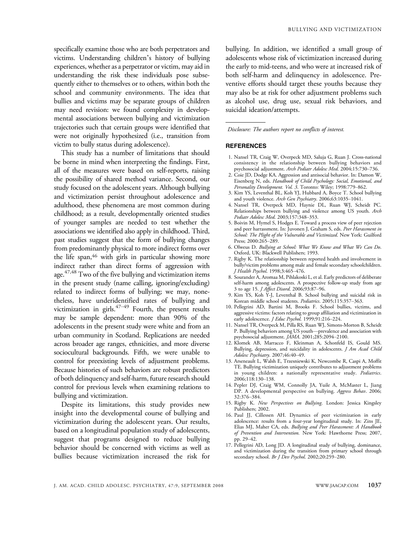specifically examine those who are both perpetrators and victims. Understanding children's history of bullying experiences, whether as a perpetrator or victim, may aid in understanding the risk these individuals pose subsequently either to themselves or to others, within both the school and community environments. The idea that bullies and victims may be separate groups of children may need revision: we found complexity in developmental associations between bullying and victimization trajectories such that certain groups were identified that were not originally hypothesized (i.e., transition from victim to bully status during adolescence).

This study has a number of limitations that should be borne in mind when interpreting the findings. First, all of the measures were based on self-reports, raising the possibility of shared method variance. Second, our study focused on the adolescent years. Although bullying and victimization persist throughout adolescence and adulthood, these phenomena are most common during childhood; as a result, developmentally oriented studies of younger samples are needed to test whether the associations we identified also apply in childhood. Third, past studies suggest that the form of bullying changes from predominantly physical to more indirect forms over the life span,<sup>46</sup> with girls in particular showing more indirect rather than direct forms of aggression with age.<sup>47,48</sup> Two of the five bullying and victimization items in the present study (name calling, ignoring/excluding) related to indirect forms of bullying; we may, nonetheless, have underidentified rates of bullying and victimization in girls. $47-49$  Fourth, the present results may be sample dependent: more than 90% of the adolescents in the present study were white and from an urban community in Scotland. Replications are needed across broader age ranges, ethnicities, and more diverse sociocultural backgrounds. Fifth, we were unable to control for preexisting levels of adjustment problems. Because histories of such behaviors are robust predictors of both delinquency and self-harm, future research should control for previous levels when examining relations to bullying and victimization.

Despite its limitations, this study provides new insight into the developmental course of bullying and victimization during the adolescent years. Our results, based on a longitudinal population study of adolescents, suggest that programs designed to reduce bullying behavior should be concerned with victims as well as bullies because victimization increased the risk for bullying. In addition, we identified a small group of adolescents whose risk of victimization increased during the early to mid-teens, and who were at increased risk of both self-harm and delinquency in adolescence. Preventive efforts should target these youths because they may also be at risk for other adjustment problems such as alcohol use, drug use, sexual risk behaviors, and suicidal ideation/attempts.

BULLYING AND VICTIMIZATION

Disclosure: The authors report no conflicts of interest.

## **REFERENCES**

- 1. Nansel TR, Craig W, Overpeck MD, Saluja G, Ruan J. Cross-national consistency in the relationship between bullying behaviors and psychosocial adjustment. Arch Pediatr Adolesc Med. 2004;15:730-736.
- 2. Coie JD, Dodge KA. Aggression and antisocial behavior. In: Damon W, Eisenberg N, eds. Handbook of Child Psychology: Social, Emotional, and Personality Development. Vol. 3. Toronto: Wiley; 1998:779-862.
- 3. Kim YS, Leventhal BL, Koh YJ, Hubbard A, Boyce T. School bullying and youth violence. Arch Gen Psychiatry. 2006;63:1035-1041.
- 4. Nansel TR, Overpeck MD, Haynie DL, Ruan WJ, Scheidt PC. Relationships between bullying and violence among US youth. Arch Pediatr Adolesc Med. 2003;157:348-353.
- 5. Boivin M, Hymel S, Hodges E. Toward a process view of peer rejection and peer harrassment. In: Juvonen J, Graham S, eds. Peer Harassment in School: The Plight of the Vulnerable and Victimized. New York: Guilford Press; 2000:265-289.
- 6. Olweus D. Bullying at School: What We Know and What We Can Do. Oxford, UK: Blackwell Publishers; 1993.
- 7. Rigby K. The relationship between reported health and involvement in bully/victim problems among male and female secondary schoolchildren. J Health Psychol. 1998;3:465-476.
- 8. Sourander A, Aromaa M, Pihlakoski L, et al. Early predictors of deliberate self-harm among adolescents. A prospective follow-up study from age 3 to age 15. *J Affect Disord*. 2006;93:87-96.
- 9. Kim YS, Koh Y-J, Leventhal B. School bullying and suicidal risk in Korean middle school students. Pediatrics. 2005;115:357-363.
- 10. Pellegrini AD, Bartini M, Brooks F. School bullies, victims, and aggressive victims: factors relating to group affiliation and victimization in early adolescence. *J Educ Psychol*. 1999;91:216-224.
- 11. Nansel TR, Overpeck M, Pilla RS, Ruan WJ, Simons-Morton B, Scheidt P. Bullying behaviors among US youth-prevalence and association with psychosocial adjustment.  $JAMA$ . 2001;285:2094-2100.
- 12. Klomek AB, Marracco F, Kleinman A, Schonfeld IS, Gould MS. Bullying, depression, and suicidality in adolescents. J Am Acad Child Adolesc Psychiatry. 2007;46:40-49.
- 13. Arseneault L, Walsh E, Trzesniewski K, Newcombe R, Caspi A, Moffit TE. Bullying victimization uniquely contributes to adjustment problems in young children: a nationally representative study. Pediatrics. 2006;118:130-138.
- 14. Pepler DJ, Craig WM, Connolly JA, Yuile A, McMaster L, Jiang DP. A developmental perspective on bullying. Aggress Behav. 2006; 32:376-384.
- 15. Rigby K. New Perspectives on Bullying. London: Jessica Kingsley Publishers; 2002.
- 16. Paul JJ, Cillessen AH. Dynamics of peer victimization in early adolescence: results from a four-year longitudinal study. In: Zins JE, Elias MJ, Maher CA, eds. Bullying and Peer Harassment: A Handbook of Prevention and Intervention. New York: Hawthorne Press; 2007, pp. 29-42.
- 17. Pellegrini AD, Long JD. A longitudinal study of bullying, dominance, and victimization during the transition from primary school through secondary school. Br J Dev Psychol. 2002;20:259-280.